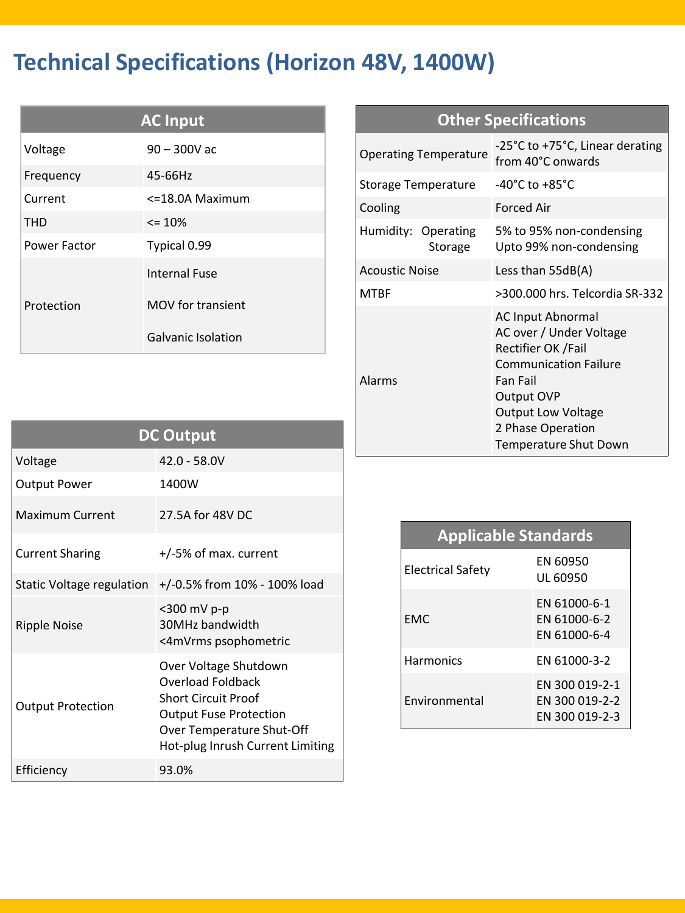## **Technical Specifications (Horizon 48V, 1400W)**

| <b>AC Input</b> |                           |  |  |  |
|-----------------|---------------------------|--|--|--|
| Voltage         | $90 - 300V$ ac            |  |  |  |
| Frequency       | 45-66Hz                   |  |  |  |
| Current         | <=18.0A Maximum           |  |  |  |
| <b>THD</b>      | $\leq$ 10%                |  |  |  |
| Power Factor    | Typical 0.99              |  |  |  |
|                 | <b>Internal Fuse</b>      |  |  |  |
| Protection      | MOV for transient         |  |  |  |
|                 | <b>Galvanic Isolation</b> |  |  |  |

| <b>Other Specifications</b>    |                                                                                                                                                                                                                |  |  |  |
|--------------------------------|----------------------------------------------------------------------------------------------------------------------------------------------------------------------------------------------------------------|--|--|--|
| <b>Operating Temperature</b>   | -25°C to +75°C, Linear derating<br>from 40°C onwards                                                                                                                                                           |  |  |  |
| <b>Storage Temperature</b>     | $-40^{\circ}$ C to $+85^{\circ}$ C                                                                                                                                                                             |  |  |  |
| Cooling                        | <b>Forced Air</b>                                                                                                                                                                                              |  |  |  |
| Humidity: Operating<br>Storage | 5% to 95% non-condensing<br>Upto 99% non-condensing                                                                                                                                                            |  |  |  |
| <b>Acoustic Noise</b>          | Less than $55dB(A)$                                                                                                                                                                                            |  |  |  |
| <b>MTBF</b>                    | >300.000 hrs. Telcordia SR-332                                                                                                                                                                                 |  |  |  |
| Alarms                         | <b>AC Input Abnormal</b><br>AC over / Under Voltage<br>Rectifier OK /Fail<br><b>Communication Failure</b><br>Fan Fail<br>Output OVP<br><b>Output Low Voltage</b><br>2 Phase Operation<br>Temperature Shut Down |  |  |  |

| <b>DC Output</b>          |                                                                                                                                                                            |  |  |  |
|---------------------------|----------------------------------------------------------------------------------------------------------------------------------------------------------------------------|--|--|--|
| Voltage                   | $42.0 - 58.0V$                                                                                                                                                             |  |  |  |
| <b>Output Power</b>       | 1400W                                                                                                                                                                      |  |  |  |
| <b>Maximum Current</b>    | 27.5A for 48V DC                                                                                                                                                           |  |  |  |
| <b>Current Sharing</b>    | $+/-5\%$ of max. current                                                                                                                                                   |  |  |  |
| Static Voltage regulation | +/-0.5% from 10% - 100% load                                                                                                                                               |  |  |  |
| <b>Ripple Noise</b>       | <300 mV p-p<br>30MHz bandwidth<br><4mVrms psophometric                                                                                                                     |  |  |  |
| <b>Output Protection</b>  | Over Voltage Shutdown<br>Overload Foldback<br><b>Short Circuit Proof</b><br><b>Output Fuse Protection</b><br>Over Temperature Shut-Off<br>Hot-plug Inrush Current Limiting |  |  |  |
| Efficiency                | 93.0%                                                                                                                                                                      |  |  |  |

| <b>Applicable Standards</b> |                                                    |  |  |  |
|-----------------------------|----------------------------------------------------|--|--|--|
| Electrical Safety           | EN 60950<br>UL 60950                               |  |  |  |
| <b>FMC</b>                  | EN 61000-6-1<br>FN 61000-6-2<br>FN 61000-6-4       |  |  |  |
| <b>Harmonics</b>            | FN 61000-3-2                                       |  |  |  |
| <b>Fnvironmental</b>        | EN 300 019-2-1<br>EN 300 019-2-2<br>FN 300 019-2-3 |  |  |  |